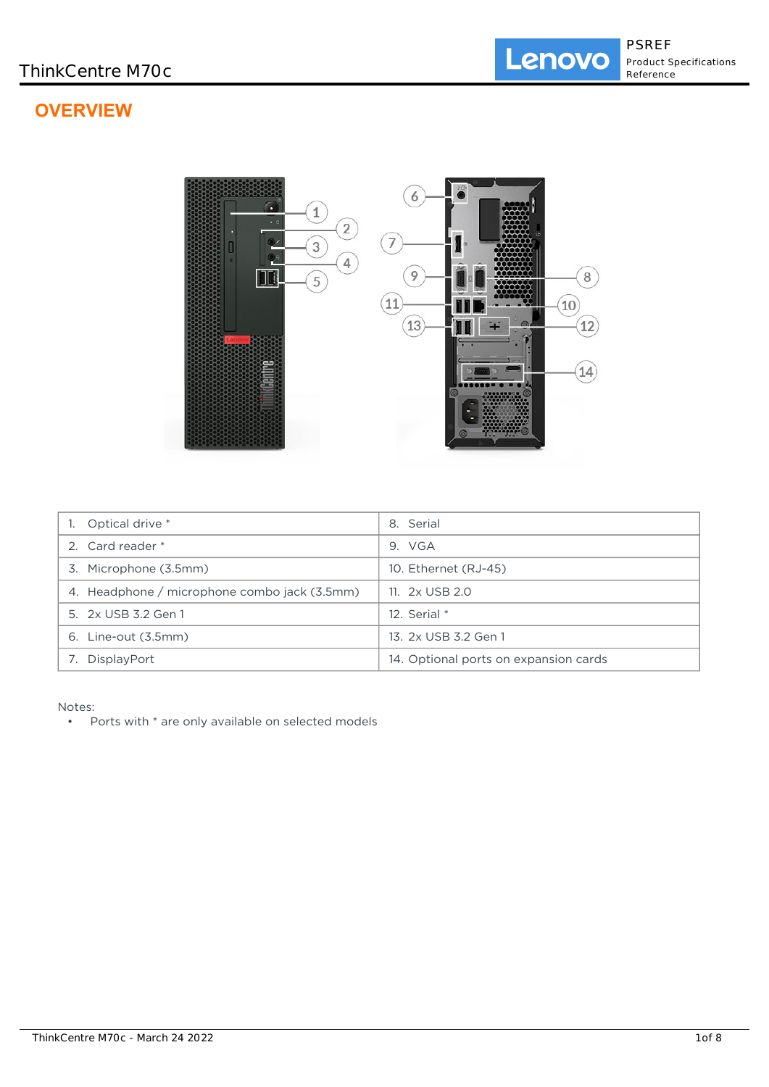# **OVERVIEW**



| Optical drive *                              | 8. Serial                             |
|----------------------------------------------|---------------------------------------|
| 2. Card reader *                             | 9. VGA                                |
| 3. Microphone (3.5mm)                        | 10. Ethernet (RJ-45)                  |
| 4. Headphone / microphone combo jack (3.5mm) | 11. 2x USB 2.0                        |
| 5. 2x USB 3.2 Gen 1                          | 12. Serial $*$                        |
| 6. Line-out (3.5mm)                          | 13. 2x USB 3.2 Gen 1                  |
| DisplayPort                                  | 14. Optional ports on expansion cards |

Notes:

• Ports with \* are only available on selected models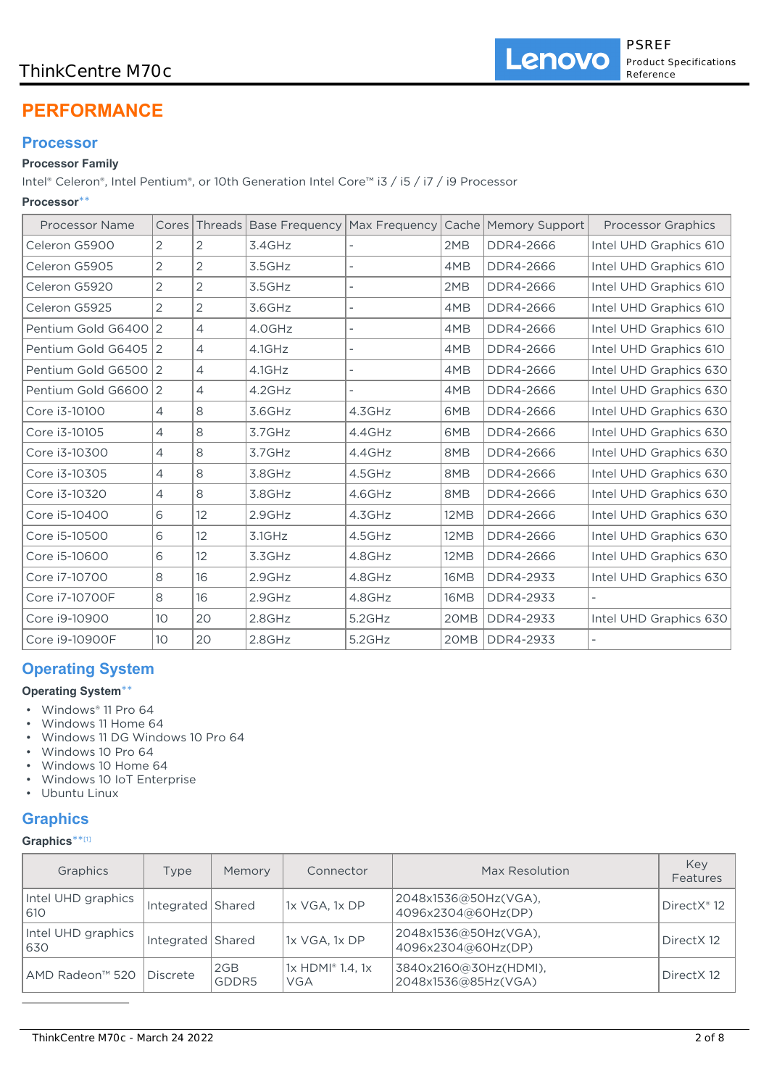## ThinkCentre M70c

# **PERFORMANCE**

## **Processor**

## **Processor Family**

Intel® Celeron®, Intel Pentium®, or 10th Generation Intel Core™ i3 / i5 / i7 / i9 Processor

## **Processor**\*\*

| <b>Processor Name</b> | Cores           |                |        |        |             | Threads   Base Frequency   Max Frequency   Cache   Memory Support | <b>Processor Graphics</b> |
|-----------------------|-----------------|----------------|--------|--------|-------------|-------------------------------------------------------------------|---------------------------|
| Celeron G5900         | 2               | $\overline{2}$ | 3.4GHz |        | 2MB         | DDR4-2666                                                         | Intel UHD Graphics 610    |
| Celeron G5905         | $\overline{2}$  | $\overline{2}$ | 3.5GHz |        | 4MB         | DDR4-2666                                                         | Intel UHD Graphics 610    |
| Celeron G5920         | 2               | 2              | 3.5GHz |        | 2MB         | DDR4-2666                                                         | Intel UHD Graphics 610    |
| Celeron G5925         | 2               | 2              | 3.6GHz |        | 4MB         | DDR4-2666                                                         | Intel UHD Graphics 610    |
| Pentium Gold G6400 2  |                 | $\overline{4}$ | 4.0GHz |        | 4MB         | DDR4-2666                                                         | Intel UHD Graphics 610    |
| Pentium Gold G6405 2  |                 | $\overline{4}$ | 4.1GHz |        | 4MB         | DDR4-2666                                                         | Intel UHD Graphics 610    |
| Pentium Gold G6500 2  |                 | $\overline{4}$ | 4.1GHz |        | 4MB         | DDR4-2666                                                         | Intel UHD Graphics 630    |
| Pentium Gold G6600 2  |                 | $\overline{4}$ | 4.2GHz |        | 4MB         | DDR4-2666                                                         | Intel UHD Graphics 630    |
| Core i3-10100         | 4               | 8              | 3.6GHz | 4.3GHz | 6MB         | DDR4-2666                                                         | Intel UHD Graphics 630    |
| Core i3-10105         | 4               | 8              | 3.7GHz | 4.4GHz | 6MB         | DDR4-2666                                                         | Intel UHD Graphics 630    |
| Core i3-10300         | 4               | 8              | 3.7GHz | 4.4GHz | 8MB         | DDR4-2666                                                         | Intel UHD Graphics 630    |
| Core i3-10305         | 4               | 8              | 3.8GHz | 4.5GHz | 8MB         | DDR4-2666                                                         | Intel UHD Graphics 630    |
| Core i3-10320         | 4               | 8              | 3.8GHz | 4.6GHz | 8MB         | DDR4-2666                                                         | Intel UHD Graphics 630    |
| Core i5-10400         | 6               | 12             | 2.9GHz | 4.3GHz | 12MB        | DDR4-2666                                                         | Intel UHD Graphics 630    |
| Core i5-10500         | 6               | 12             | 3.1GHz | 4.5GHz | 12MB        | DDR4-2666                                                         | Intel UHD Graphics 630    |
| Core i5-10600         | 6               | 12             | 3.3GHz | 4.8GHz | <b>12MB</b> | DDR4-2666                                                         | Intel UHD Graphics 630    |
| Core i7-10700         | 8               | 16             | 2.9GHz | 4.8GHz | <b>16MB</b> | DDR4-2933                                                         | Intel UHD Graphics 630    |
| Core i7-10700F        | 8               | 16             | 2.9GHz | 4.8GHz | 16MB        | DDR4-2933                                                         |                           |
| Core i9-10900         | 10 <sup>°</sup> | 20             | 2.8GHz | 5.2GHz | 20MB        | DDR4-2933                                                         | Intel UHD Graphics 630    |
| Core i9-10900F        | 10 <sup>°</sup> | 20             | 2.8GHz | 5.2GHz | 20MB        | <b>DDR4-2933</b>                                                  |                           |

## **Operating System**

### **Operating System**\*\*

- Windows® 11 Pro 64
- Windows 11 Home 64
- Windows 11 DG Windows 10 Pro 64
- Windows 10 Pro 64
- Windows 10 Home 64
- Windows 10 IoT Enterprise
- Ubuntu Linux

## **Graphics**

### **Graphics**\*\* [1]

| Graphics                  | Type              | Memory       | Connector                                    | Max Resolution                               | Key<br>Features         |
|---------------------------|-------------------|--------------|----------------------------------------------|----------------------------------------------|-------------------------|
| Intel UHD graphics<br>610 | Integrated Shared |              | 1x VGA, 1x DP                                | 2048x1536@50Hz(VGA),<br>4096x2304@60Hz(DP)   | DirectX <sup>®</sup> 12 |
| Intel UHD graphics<br>630 | Integrated Shared |              | 1x VGA, 1x DP                                | 2048x1536@50Hz(VGA),<br>4096x2304@60Hz(DP)   | Direct X12              |
| AMD Radeon™ 520           | Discrete          | 2GB<br>GDDR5 | $1x$ HDMI <sup>®</sup> 1.4, 1x<br><b>VGA</b> | 3840x2160@30Hz(HDMI),<br>2048x1536@85Hz(VGA) | Direct X12              |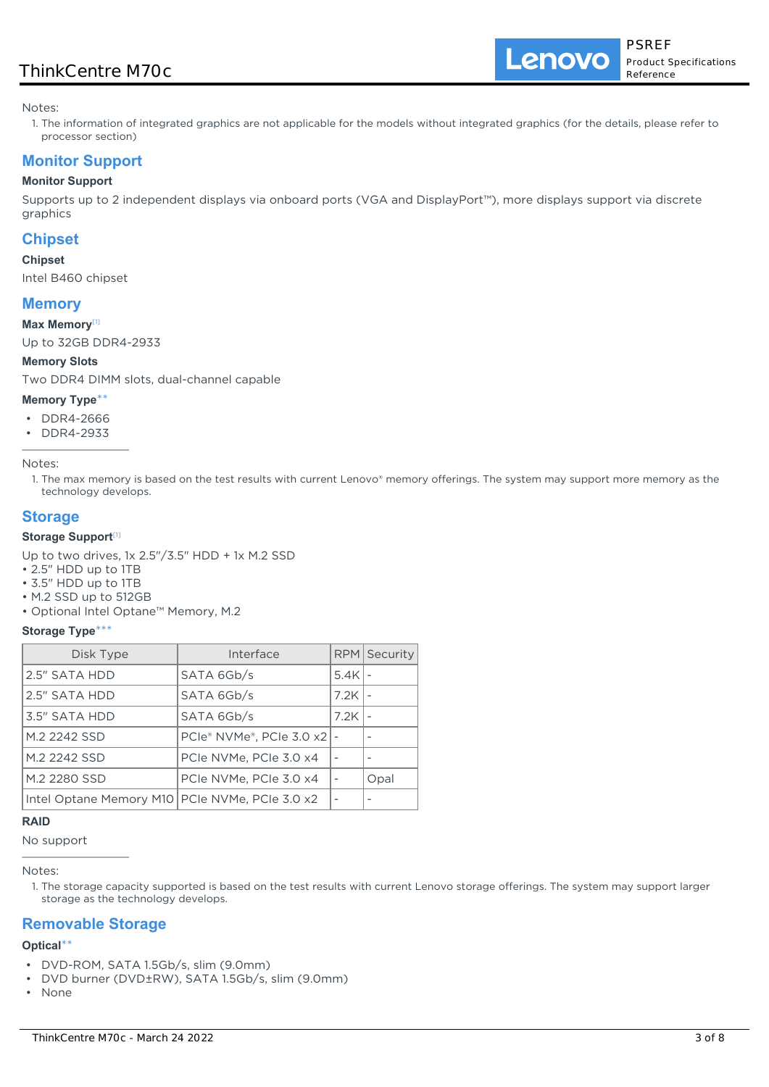## ThinkCentre M70c

Lenovo

Notes:

1. The information of integrated graphics are not applicable for the models without integrated graphics (for the details, please refer to processor section)

## **Monitor Support**

### **Monitor Support**

Supports up to 2 independent displays via onboard ports (VGA and DisplayPort™), more displays support via discrete graphics

### **Chipset**

### **Chipset**

Intel B460 chipset

### **Memory**

### **Max Memory**[1]

Up to 32GB DDR4-2933

### **Memory Slots**

Two DDR4 DIMM slots, dual-channel capable

#### **Memory Type**\*\*

- DDR4-2666
- DDR4-2933

Notes:

1. The max memory is based on the test results with current Lenovo® memory offerings. The system may support more memory as the technology develops.

### **Storage**

### **Storage Support**[1]

Up to two drives, 1x 2.5"/3.5" HDD + 1x M.2 SSD

- 2.5" HDD up to 1TB
- 3.5" HDD up to 1TB
- M.2 SSD up to 512GB

• Optional Intel Optane™ Memory, M.2

### **Storage Type**\*\*\*

| Disk Type                                        | Interface                |        | RPM Security |
|--------------------------------------------------|--------------------------|--------|--------------|
| 2.5" SATA HDD                                    | SATA 6Gb/s               | 5.4K l |              |
| 2.5" SATA HDD                                    | SATA 6Gb/s               | 7.2K   |              |
| 3.5" SATA HDD                                    | SATA 6Gb/s               | 7.2K   |              |
| M.2 2242 SSD                                     | PCIe® NVMe®, PCIe 3.0 x2 |        |              |
| M.2 2242 SSD                                     | PCIe NVMe, PCIe 3.0 x4   |        |              |
| M.2 2280 SSD                                     | PCIe NVMe. PCIe 3.0 x4   |        | Opal         |
| Intel Optane Memory M10   PCIe NVMe, PCIe 3.0 x2 |                          |        |              |

### **RAID**

No support

Notes:

1. The storage capacity supported is based on the test results with current Lenovo storage offerings. The system may support larger storage as the technology develops.

### **Removable Storage**

### **Optical**\*\*

- DVD-ROM, SATA 1.5Gb/s, slim (9.0mm)
- DVD burner (DVD±RW), SATA 1.5Gb/s, slim (9.0mm)
- None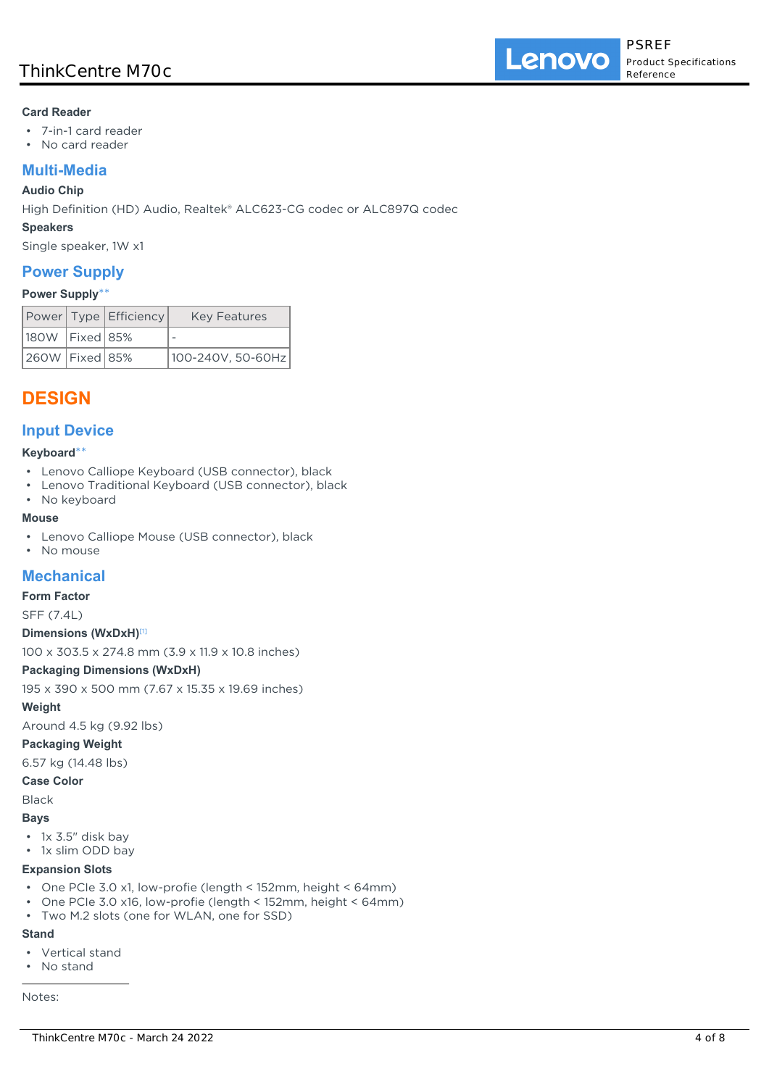### **Card Reader**

- 7-in-1 card reader
- No card reader

## **Multi-Media**

### **Audio Chip**

High Definition (HD) Audio, Realtek® ALC623-CG codec or ALC897Q codec

#### **Speakers**

Single speaker, 1W x1

### **Power Supply**

### **Power Supply**\*\*

|                    | Power Type Efficiency | <b>Key Features</b> |
|--------------------|-----------------------|---------------------|
| 180W   Fixed   85% |                       |                     |
| 260W   Fixed   85% |                       | 100-240V, 50-60Hz   |

## **DESIGN**

### **Input Device**

### **Keyboard**\*\*

- Lenovo Calliope Keyboard (USB connector), black
- Lenovo Traditional Keyboard (USB connector), black
- No keyboard

### **Mouse**

- Lenovo Calliope Mouse (USB connector), black
- No mouse

## **Mechanical**

### **Form Factor**

SFF (7.4L)

### **Dimensions (WxDxH)**[1]

100 x 303.5 x 274.8 mm (3.9 x 11.9 x 10.8 inches)

### **Packaging Dimensions (WxDxH)**

195 x 390 x 500 mm (7.67 x 15.35 x 19.69 inches)

### **Weight**

Around 4.5 kg (9.92 lbs)

### **Packaging Weight**

6.57 kg (14.48 lbs)

### **Case Color**

Black

### **Bays**

- 1x 3.5" disk bay
- 1x slim ODD bay

### **Expansion Slots**

- One PCIe 3.0 x1, low-profie (length < 152mm, height < 64mm)
- One PCIe 3.0 x16, low-profie (length < 152mm, height < 64mm)
- Two M.2 slots (one for WLAN, one for SSD)

### **Stand**

- Vertical stand
- No stand

Notes: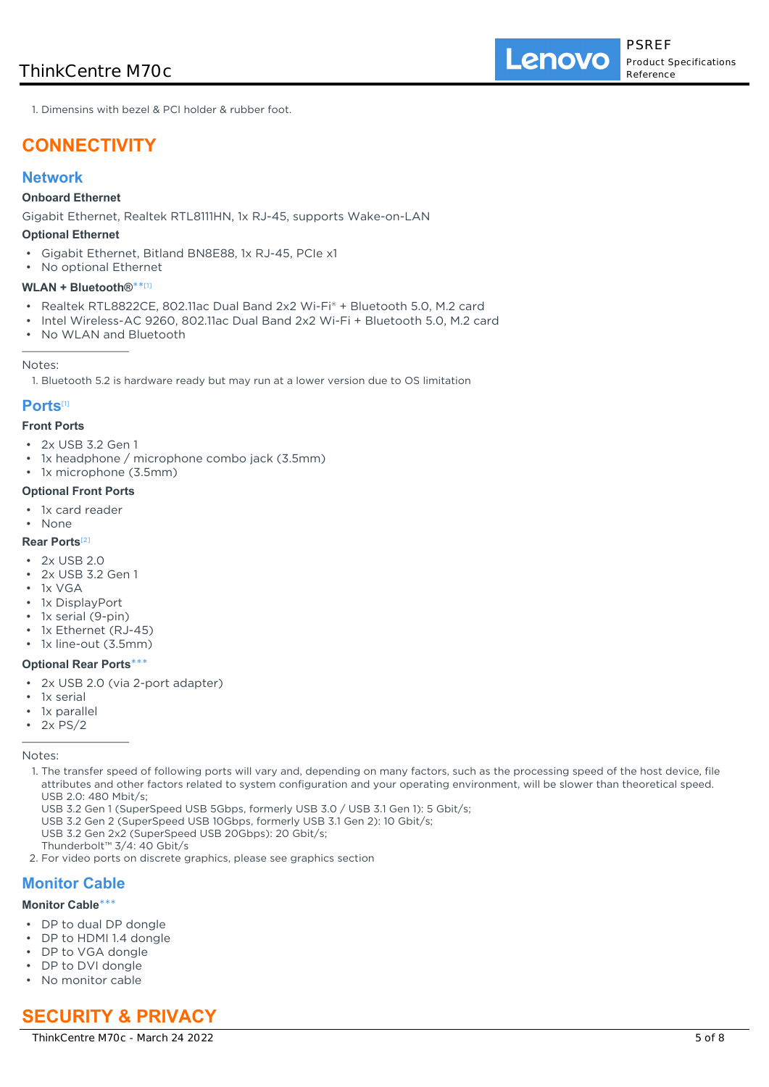Lenovo

1. Dimensins with bezel & PCI holder & rubber foot.

## **CONNECTIVITY**

### **Network**

### **Onboard Ethernet**

Gigabit Ethernet, Realtek RTL8111HN, 1x RJ-45, supports Wake-on-LAN

#### **Optional Ethernet**

- Gigabit Ethernet, Bitland BN8E88, 1x RJ-45, PCIe x1
- No optional Ethernet

#### **WLAN + Bluetooth®**\*\* [1]

- Realtek RTL8822CE, 802.11ac Dual Band 2x2 Wi-Fi® + Bluetooth 5.0, M.2 card
- Intel Wireless-AC 9260, 802.11ac Dual Band 2x2 Wi-Fi + Bluetooth 5.0, M.2 card
- No WLAN and Bluetooth

#### Notes:

1. Bluetooth 5.2 is hardware ready but may run at a lower version due to OS limitation

## **Ports**[1]

## **Front Ports**

- 2x USB 3.2 Gen 1
- 1x headphone / microphone combo jack (3.5mm)
- 1x microphone (3.5mm)

#### **Optional Front Ports**

- 1x card reader
- None

### **Rear Ports**[2]

- 2x USB 2.0
- 2x USB 3.2 Gen 1
- 1x VGA
- 1x DisplayPort
- 1x serial (9-pin)
- 1x Ethernet (RJ-45)
- 1x line-out (3.5mm)

### **Optional Rear Ports**\*\*\*

- 2x USB 2.0 (via 2-port adapter)
- 1x serial
- 1x parallel
- 2x PS/2

Notes:

- 1. The transfer speed of following ports will vary and, depending on many factors, such as the processing speed of the host device, file attributes and other factors related to system configuration and your operating environment, will be slower than theoretical speed. USB 2.0: 480 Mbit/s;
	- USB 3.2 Gen 1 (SuperSpeed USB 5Gbps, formerly USB 3.0 / USB 3.1 Gen 1): 5 Gbit/s;
	- USB 3.2 Gen 2 (SuperSpeed USB 10Gbps, formerly USB 3.1 Gen 2): 10 Gbit/s;
- USB 3.2 Gen 2x2 (SuperSpeed USB 20Gbps): 20 Gbit/s;
- Thunderbolt™ 3/4: 40 Gbit/s
- 2. For video ports on discrete graphics, please see graphics section

### **Monitor Cable**

#### **Monitor Cable**\*\*\*

- DP to dual DP dongle
- DP to HDMI 1.4 dongle
- DP to VGA dongle
- DP to DVI dongle
- No monitor cable

## **SECURITY & PRIVACY**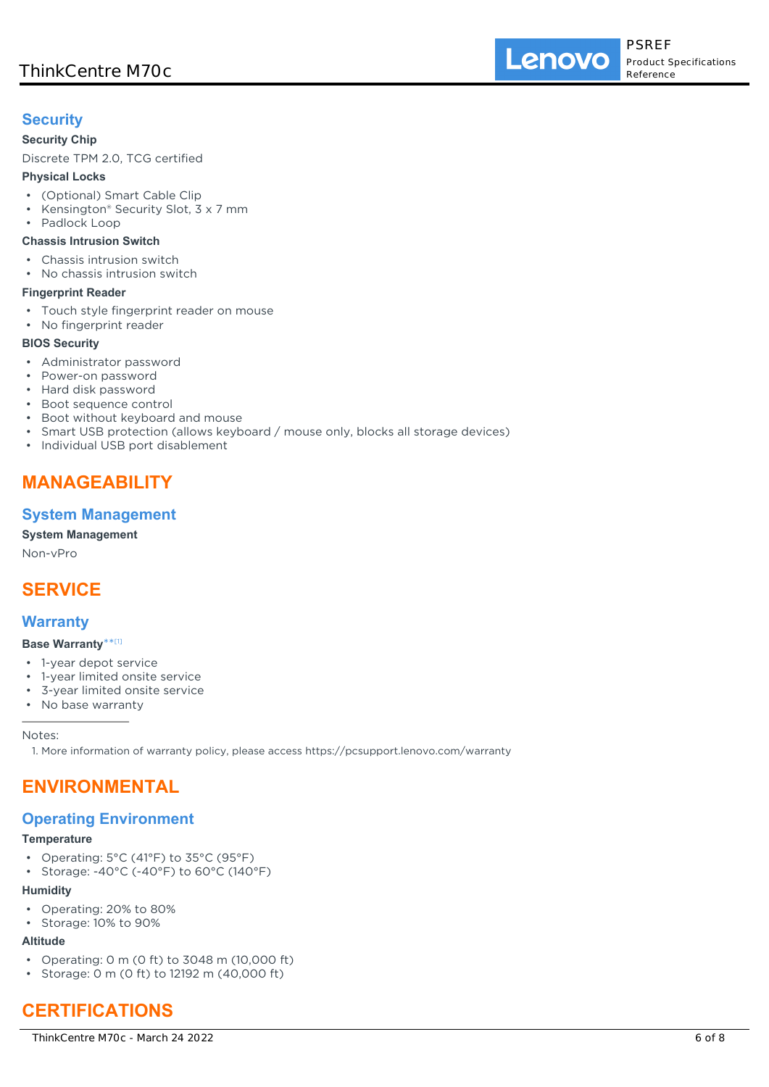## **Security**

### **Security Chip**

Discrete TPM 2.0, TCG certified

### **Physical Locks**

- (Optional) Smart Cable Clip
- Kensington® Security Slot, 3 x 7 mm
- Padlock Loop

### **Chassis Intrusion Switch**

- Chassis intrusion switch
- No chassis intrusion switch

### **Fingerprint Reader**

- Touch style fingerprint reader on mouse
- No fingerprint reader

### **BIOS Security**

- Administrator password
- Power-on password
- Hard disk password
- Boot sequence control
- Boot without keyboard and mouse
- Smart USB protection (allows keyboard / mouse only, blocks all storage devices)
- Individual USB port disablement

## **MANAGEABILITY**

## **System Management**

### **System Management**

Non-vPro

# **SERVICE**

## **Warranty**

### **Base Warranty**\*\* [1]

- 1-year depot service
- 1-year limited onsite service
- 3-year limited onsite service
- No base warranty

Notes:

1. More information of warranty policy, please access https://pcsupport.lenovo.com/warranty

## **ENVIRONMENTAL**

## **Operating Environment**

### **Temperature**

- Operating: 5°C (41°F) to 35°C (95°F)
- Storage: -40°C (-40°F) to 60°C (140°F)

### **Humidity**

- Operating: 20% to 80%
- Storage: 10% to 90%

## **Altitude**

- Operating: 0 m (0 ft) to 3048 m (10,000 ft)
- Storage: 0 m (0 ft) to 12192 m (40,000 ft)

# **CERTIFICATIONS**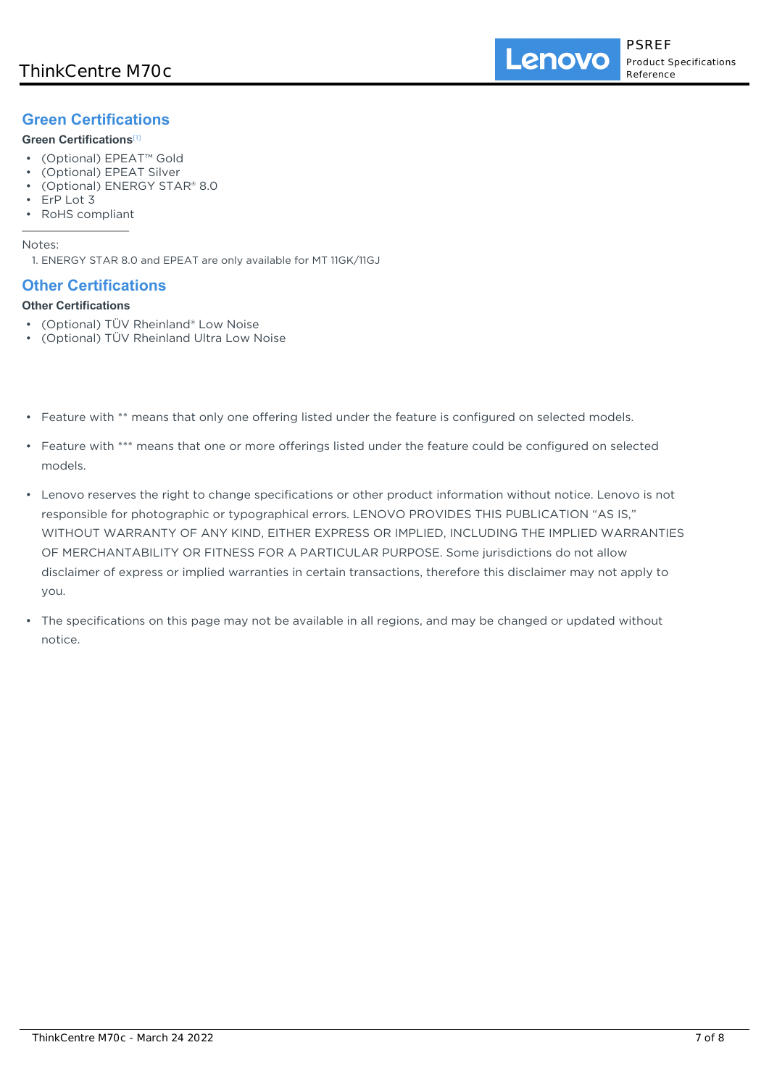## **Green Certifications**

### **Green Certifications**[1]

- (Optional) EPEAT™ Gold
- (Optional) EPEAT Silver
- (Optional) ENERGY STAR® 8.0
- ErP Lot 3
- RoHS compliant

### Notes:

1. ENERGY STAR 8.0 and EPEAT are only available for MT 11GK/11GJ

## **Other Certifications**

### **Other Certifications**

- (Optional) TÜV Rheinland® Low Noise
- (Optional) TÜV Rheinland Ultra Low Noise
- Feature with \*\* means that only one offering listed under the feature is configured on selected models.
- Feature with \*\*\* means that one or more offerings listed under the feature could be configured on selected models.
- Lenovo reserves the right to change specifications or other product information without notice. Lenovo is not responsible for photographic or typographical errors. LENOVO PROVIDES THIS PUBLICATION "AS IS," WITHOUT WARRANTY OF ANY KIND, EITHER EXPRESS OR IMPLIED, INCLUDING THE IMPLIED WARRANTIES OF MERCHANTABILITY OR FITNESS FOR A PARTICULAR PURPOSE. Some jurisdictions do not allow disclaimer of express or implied warranties in certain transactions, therefore this disclaimer may not apply to you.
- The specifications on this page may not be available in all regions, and may be changed or updated without notice.